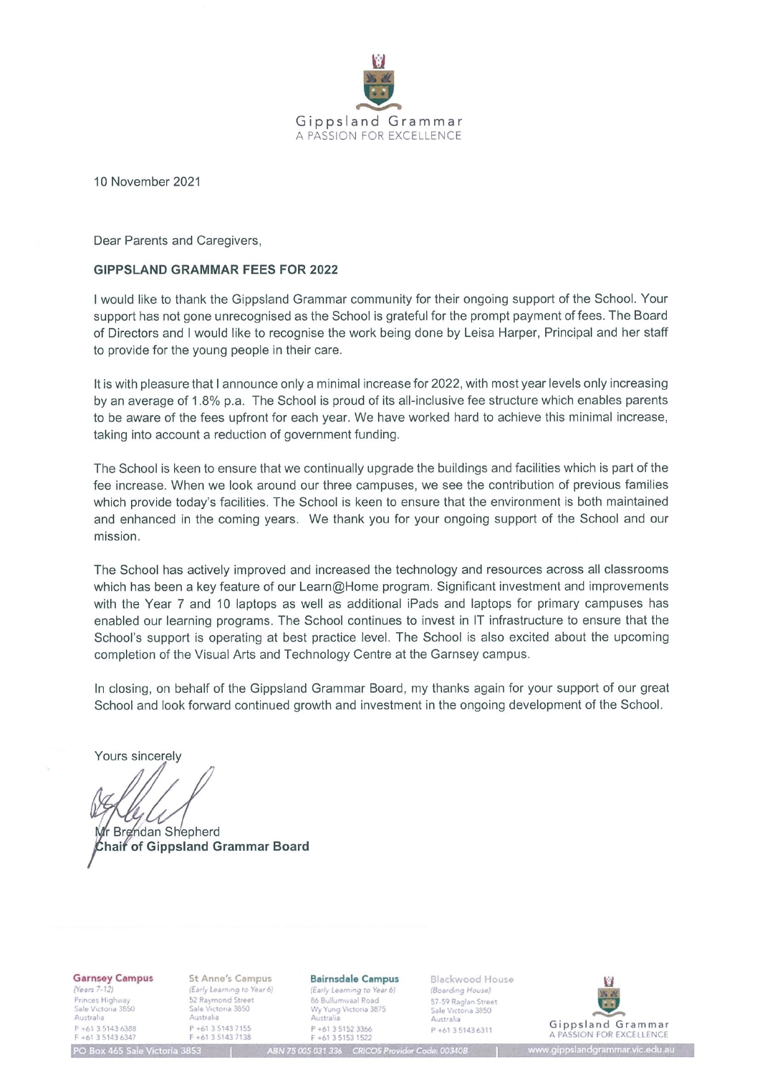

10 November 2021

Dear Parents and Caregivers.

#### **GIPPSLAND GRAMMAR FEES FOR 2022**

I would like to thank the Gippsland Grammar community for their ongoing support of the School. Your support has not gone unrecognised as the School is grateful for the prompt payment of fees. The Board of Directors and I would like to recognise the work being done by Leisa Harper, Principal and her staff to provide for the young people in their care.

It is with pleasure that I announce only a minimal increase for 2022, with most year levels only increasing by an average of 1.8% p.a. The School is proud of its all-inclusive fee structure which enables parents to be aware of the fees upfront for each year. We have worked hard to achieve this minimal increase, taking into account a reduction of government funding.

The School is keen to ensure that we continually upgrade the buildings and facilities which is part of the fee increase. When we look around our three campuses, we see the contribution of previous families which provide today's facilities. The School is keen to ensure that the environment is both maintained and enhanced in the coming years. We thank you for your ongoing support of the School and our mission.

The School has actively improved and increased the technology and resources across all classrooms which has been a key feature of our Learn@Home program. Significant investment and improvements with the Year 7 and 10 laptops as well as additional iPads and laptops for primary campuses has enabled our learning programs. The School continues to invest in IT infrastructure to ensure that the School's support is operating at best practice level. The School is also excited about the upcoming completion of the Visual Arts and Technology Centre at the Garnsey campus.

In closing, on behalf of the Gippsland Grammar Board, my thanks again for your support of our great School and look forward continued growth and investment in the ongoing development of the School.

Yours sincerely

Wr Brendan Shepherd **Chaif of Gippsland Grammar Board** 

**Garnsey Campus** 

(Years 7-12) Princes Highway<br>Sale Victoria 3850 Australia P +61 3 5143 6388<br>F +61 3 5143 6347 **St Anne's Campus** (Early Learning to Year 6) 52 Raymond Street<br>Sale Victoria 3850 Australia P +61 3 5143 7155<br>F +61 3 5143 7138

#### **Bairnsdale Campus** (Early Learning to Year 6) 86 Bullumwaal Road Wy Yung Victoria 3875<br>Australia P +61 3 5152 3366<br>F +61 3 5153 1522

BN 75 005 031 336 CRICOS Provider Code: 00340B

Blackwood House (Boarding House) 57-59 Raglan Street Sale Victoria 3850 Australia P +61 3 5143 6311



O Box 465 Sale Victoria 3853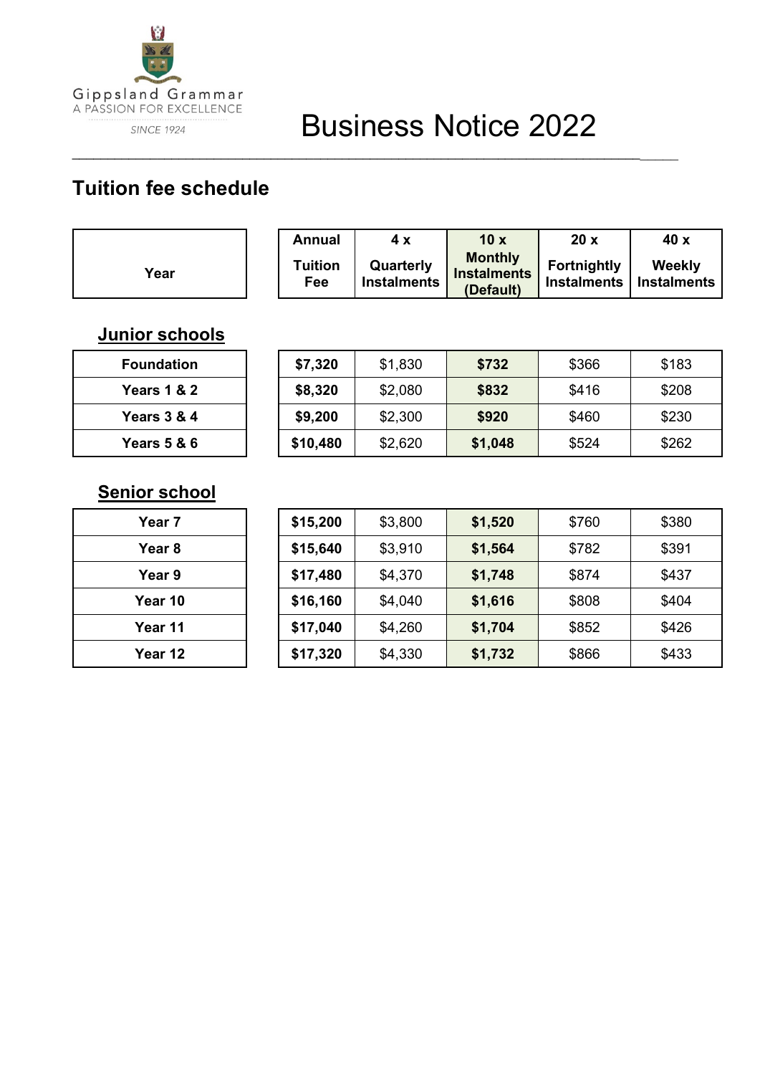

# **Tuition fee schedule**

|      | Annual                | 4 x                             | 10x                                               | 20x                | 40 x                                |
|------|-----------------------|---------------------------------|---------------------------------------------------|--------------------|-------------------------------------|
| Year | <b>Tuition</b><br>Fee | Quarterly<br><b>Instalments</b> | <b>Monthly</b><br><b>Instalments</b><br>(Default) | <b>Fortnightly</b> | Weekly<br>Instalments   Instalments |

\_\_\_\_\_\_\_\_\_\_\_\_\_\_\_\_\_\_\_\_\_\_\_\_\_\_\_\_\_\_\_\_\_\_\_\_\_\_\_\_\_\_\_\_\_\_\_\_\_\_\_\_\_\_\_\_\_\_\_\_\_\_\_\_\_\_\_\_\_\_\_\_\_\_\_\_\_\_\_\_\_\_\_\_\_

## **Junior schools**

| Foundation  |  |  |  |
|-------------|--|--|--|
| Years 1 & 2 |  |  |  |
| Years 3 & 4 |  |  |  |
| Years 5 & 6 |  |  |  |

| <b>Foundation</b>      | \$7,320  | \$1,830 | \$732   | \$366 | \$183 |
|------------------------|----------|---------|---------|-------|-------|
| <b>Years 1 &amp; 2</b> | \$8,320  | \$2,080 | \$832   | \$416 | \$208 |
| <b>Years 3 &amp; 4</b> | \$9,200  | \$2,300 | \$920   | \$460 | \$230 |
| <b>Years 5 &amp; 6</b> | \$10,480 | \$2,620 | \$1,048 | \$524 | \$262 |

## **Senior school**

| <b>Year 7</b> |
|---------------|
| Year 8        |
| Year 9        |
| Year 10       |
| Year 11       |
| Year 12       |

| Year 7            | \$15,200 | \$3,800 | \$1,520 | \$760 | \$380 |
|-------------------|----------|---------|---------|-------|-------|
| Year <sub>8</sub> | \$15,640 | \$3,910 | \$1,564 | \$782 | \$391 |
| Year 9            | \$17,480 | \$4,370 | \$1,748 | \$874 | \$437 |
| Year 10           | \$16,160 | \$4,040 | \$1,616 | \$808 | \$404 |
| Year 11           | \$17,040 | \$4,260 | \$1,704 | \$852 | \$426 |
| Year 12           | \$17,320 | \$4,330 | \$1,732 | \$866 | \$433 |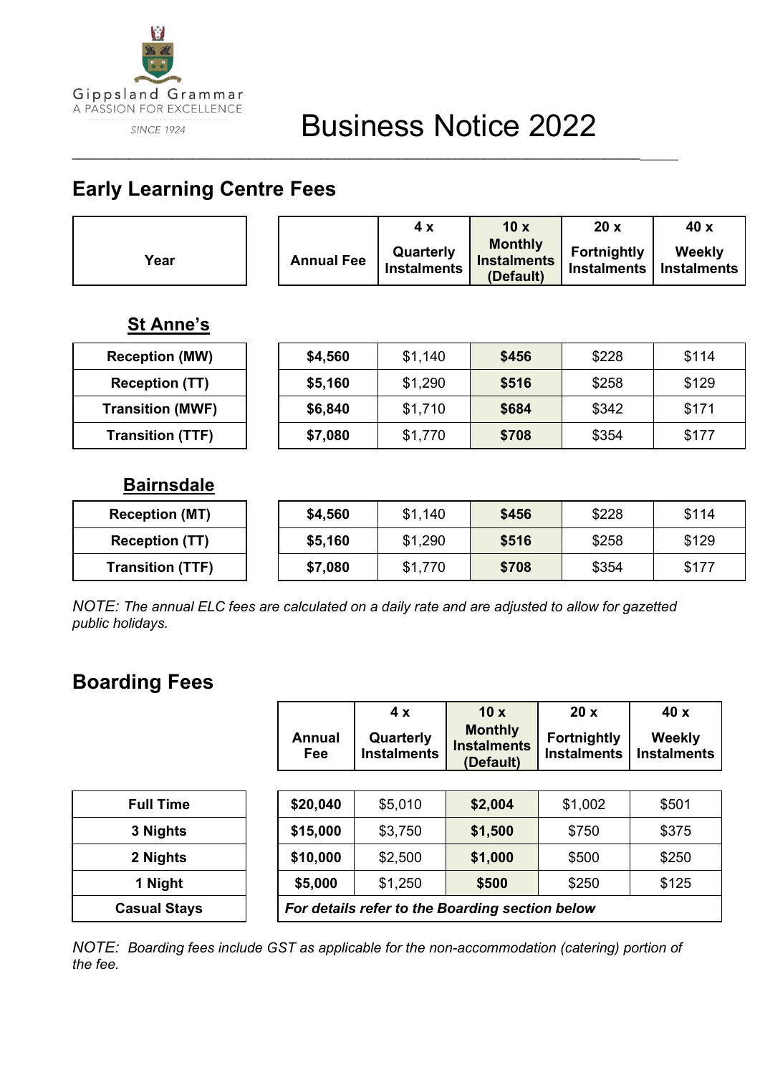

# **Early Learning Centre Fees**

|      |                   | 4 X                             | 10x                                               | 20x                                             | 40 x   |
|------|-------------------|---------------------------------|---------------------------------------------------|-------------------------------------------------|--------|
| Year | <b>Annual Fee</b> | Quarterly<br><b>Instalments</b> | <b>Monthly</b><br><b>Instalments</b><br>(Default) | <b>Fortnightly</b><br>Instalments   Instalments | Weekly |

\_\_\_\_\_\_\_\_\_\_\_\_\_\_\_\_\_\_\_\_\_\_\_\_\_\_\_\_\_\_\_\_\_\_\_\_\_\_\_\_\_\_\_\_\_\_\_\_\_\_\_\_\_\_\_\_\_\_\_\_\_\_\_\_\_\_\_\_\_\_\_\_\_\_\_\_\_\_\_\_\_\_\_\_\_

## **St Anne's**

| <b>Reception (MW)</b>   | \$4,560 | \$1.140 | \$456 | \$228 | \$114 |
|-------------------------|---------|---------|-------|-------|-------|
| <b>Reception (TT)</b>   | \$5,160 | \$1,290 | \$516 | \$258 | \$129 |
| <b>Transition (MWF)</b> | \$6,840 | \$1,710 | \$684 | \$342 | \$171 |
| <b>Transition (TTF)</b> | \$7,080 | \$1,770 | \$708 | \$354 | \$177 |

## **Bairnsdale**

| <b>Reception (MT)</b>   | \$4,560 | \$1,140 | \$456 | \$228 | \$114 |
|-------------------------|---------|---------|-------|-------|-------|
| <b>Reception (TT)</b>   | \$5,160 | \$1,290 | \$516 | \$258 | \$129 |
| <b>Transition (TTF)</b> | \$7,080 | \$1,770 | \$708 | \$354 | \$177 |

*NOTE: The annual ELC fees are calculated on a daily rate and are adjusted to allow for gazetted public holidays.*

# **Boarding Fees**

|                     | Annual<br><b>Fee</b>                            | 4x<br>Quarterly<br><b>Instalments</b> | 10x<br><b>Monthly</b><br><b>Instalments</b> | 20x<br><b>Fortnightly</b><br><b>Instalments</b> | 40x<br><b>Weekly</b><br><b>Instalments</b> |  |
|---------------------|-------------------------------------------------|---------------------------------------|---------------------------------------------|-------------------------------------------------|--------------------------------------------|--|
|                     |                                                 |                                       | (Default)                                   |                                                 |                                            |  |
| <b>Full Time</b>    | \$20,040                                        | \$5,010                               | \$2,004                                     | \$1,002                                         | \$501                                      |  |
| 3 Nights            | \$15,000                                        | \$3,750                               | \$1,500                                     | \$750                                           | \$375                                      |  |
| 2 Nights            | \$10,000                                        | \$2,500                               | \$1,000                                     | \$500                                           | \$250                                      |  |
| 1 Night             | \$5,000                                         | \$1,250                               | \$500                                       | \$250                                           | \$125                                      |  |
| <b>Casual Stays</b> | For details refer to the Boarding section below |                                       |                                             |                                                 |                                            |  |

*NOTE: Boarding fees include GST as applicable for the non-accommodation (catering) portion of the fee.*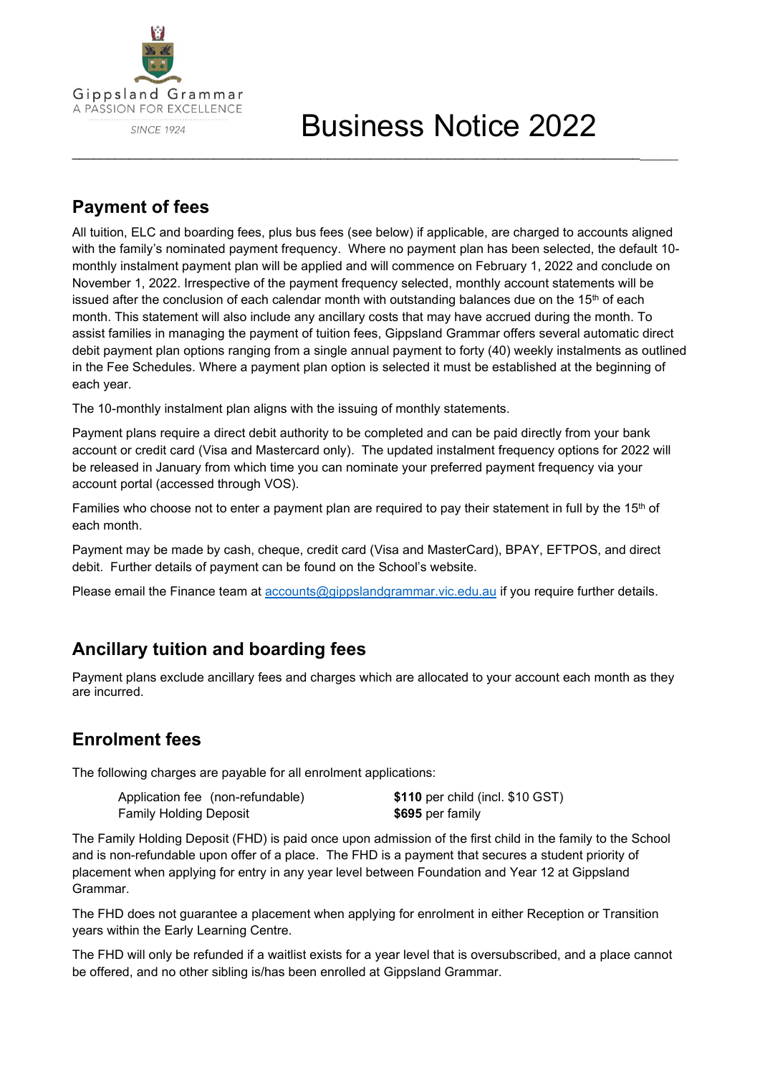

# Business Notice 2022

## **Payment of fees**

All tuition, ELC and boarding fees, plus bus fees (see below) if applicable, are charged to accounts aligned with the family's nominated payment frequency. Where no payment plan has been selected, the default 10 monthly instalment payment plan will be applied and will commence on February 1, 2022 and conclude on November 1, 2022. Irrespective of the payment frequency selected, monthly account statements will be issued after the conclusion of each calendar month with outstanding balances due on the  $15<sup>th</sup>$  of each month. This statement will also include any ancillary costs that may have accrued during the month. To assist families in managing the payment of tuition fees, Gippsland Grammar offers several automatic direct debit payment plan options ranging from a single annual payment to forty (40) weekly instalments as outlined in the Fee Schedules. Where a payment plan option is selected it must be established at the beginning of each year.

\_\_\_\_\_\_\_\_\_\_\_\_\_\_\_\_\_\_\_\_\_\_\_\_\_\_\_\_\_\_\_\_\_\_\_\_\_\_\_\_\_\_\_\_\_\_\_\_\_\_\_\_\_\_\_\_\_\_\_\_\_\_\_\_\_\_\_\_\_\_\_\_\_\_\_\_\_\_\_\_\_\_\_\_\_

The 10-monthly instalment plan aligns with the issuing of monthly statements.

Payment plans require a direct debit authority to be completed and can be paid directly from your bank account or credit card (Visa and Mastercard only). The updated instalment frequency options for 2022 will be released in January from which time you can nominate your preferred payment frequency via your account portal (accessed through VOS).

Families who choose not to enter a payment plan are required to pay their statement in full by the 15<sup>th</sup> of each month.

Payment may be made by cash, cheque, credit card (Visa and MasterCard), BPAY, EFTPOS, and direct debit. Further details of payment can be found on the School's website.

Please email the Finance team at [accounts@gippslandgrammar.vic.edu.au](mailto:accounts@gippslandgrammar.vic.edu.au) if you require further details.

## **Ancillary tuition and boarding fees**

Payment plans exclude ancillary fees and charges which are allocated to your account each month as they are incurred.

## **Enrolment fees**

The following charges are payable for all enrolment applications:

| Application fee (non-refundable) | \$110 per child (incl. \$10 GST) |
|----------------------------------|----------------------------------|
| Family Holding Deposit           | $$695$ per family                |

The Family Holding Deposit (FHD) is paid once upon admission of the first child in the family to the School and is non-refundable upon offer of a place. The FHD is a payment that secures a student priority of placement when applying for entry in any year level between Foundation and Year 12 at Gippsland Grammar.

The FHD does not guarantee a placement when applying for enrolment in either Reception or Transition years within the Early Learning Centre.

The FHD will only be refunded if a waitlist exists for a year level that is oversubscribed, and a place cannot be offered, and no other sibling is/has been enrolled at Gippsland Grammar.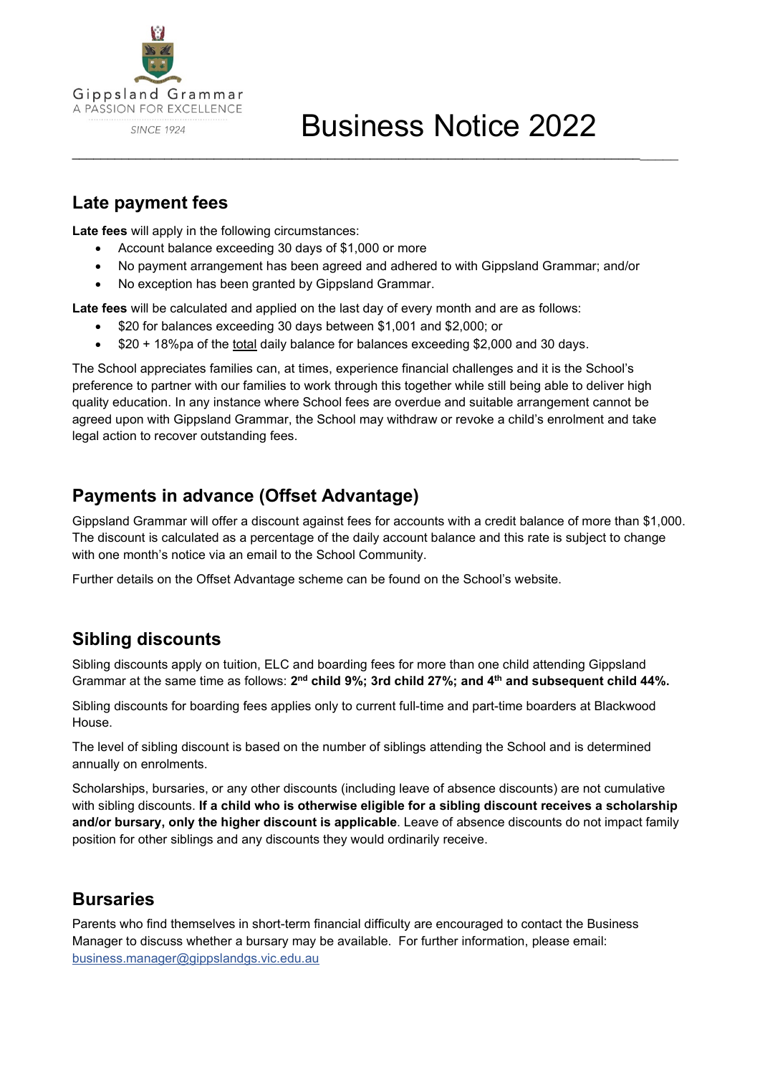

## **Late payment fees**

**Late fees** will apply in the following circumstances:

- Account balance exceeding 30 days of \$1,000 or more
- No payment arrangement has been agreed and adhered to with Gippsland Grammar; and/or

\_\_\_\_\_\_\_\_\_\_\_\_\_\_\_\_\_\_\_\_\_\_\_\_\_\_\_\_\_\_\_\_\_\_\_\_\_\_\_\_\_\_\_\_\_\_\_\_\_\_\_\_\_\_\_\_\_\_\_\_\_\_\_\_\_\_\_\_\_\_\_\_\_\_\_\_\_\_\_\_\_\_\_\_\_

No exception has been granted by Gippsland Grammar.

**Late fees** will be calculated and applied on the last day of every month and are as follows:

- \$20 for balances exceeding 30 days between \$1,001 and \$2,000; or
- \$20 + 18%pa of the total daily balance for balances exceeding \$2,000 and 30 days.

The School appreciates families can, at times, experience financial challenges and it is the School's preference to partner with our families to work through this together while still being able to deliver high quality education. In any instance where School fees are overdue and suitable arrangement cannot be agreed upon with Gippsland Grammar, the School may withdraw or revoke a child's enrolment and take legal action to recover outstanding fees.

### **Payments in advance (Offset Advantage)**

Gippsland Grammar will offer a discount against fees for accounts with a credit balance of more than \$1,000. The discount is calculated as a percentage of the daily account balance and this rate is subject to change with one month's notice via an email to the School Community.

Further details on the Offset Advantage scheme can be found on the School's website.

### **Sibling discounts**

Sibling discounts apply on tuition, ELC and boarding fees for more than one child attending Gippsland Grammar at the same time as follows: 2<sup>nd</sup> child 9%; 3rd child 27%; and 4<sup>th</sup> and subsequent child 44%.

Sibling discounts for boarding fees applies only to current full-time and part-time boarders at Blackwood House.

The level of sibling discount is based on the number of siblings attending the School and is determined annually on enrolments.

Scholarships, bursaries, or any other discounts (including leave of absence discounts) are not cumulative with sibling discounts. **If a child who is otherwise eligible for a sibling discount receives a scholarship and/or bursary, only the higher discount is applicable**. Leave of absence discounts do not impact family position for other siblings and any discounts they would ordinarily receive.

#### **Bursaries**

Parents who find themselves in short-term financial difficulty are encouraged to contact the Business Manager to discuss whether a bursary may be available. For further information, please email: [business.manager@gippslandgs.vic.edu.au](mailto:business.manager@gippslandgs.vic.edu.au)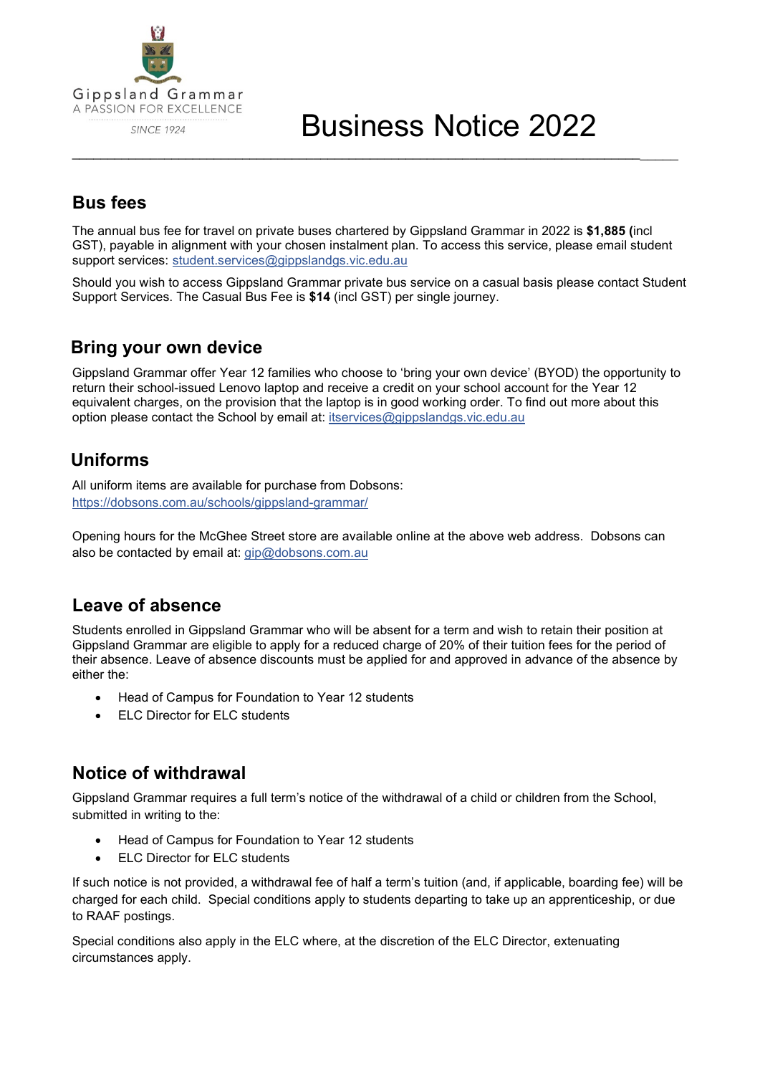

## **Bus fees**

The annual bus fee for travel on private buses chartered by Gippsland Grammar in 2022 is **\$1,885 (**incl GST), payable in alignment with your chosen instalment plan. To access this service, please email student support services: [student.services@gippslandgs.vic.edu.au](mailto:student.services@gippslandgs.vic.edu.au)

\_\_\_\_\_\_\_\_\_\_\_\_\_\_\_\_\_\_\_\_\_\_\_\_\_\_\_\_\_\_\_\_\_\_\_\_\_\_\_\_\_\_\_\_\_\_\_\_\_\_\_\_\_\_\_\_\_\_\_\_\_\_\_\_\_\_\_\_\_\_\_\_\_\_\_\_\_\_\_\_\_\_\_\_\_

Should you wish to access Gippsland Grammar private bus service on a casual basis please contact Student Support Services. The Casual Bus Fee is **\$14** (incl GST) per single journey.

#### **Bring your own device**

Gippsland Grammar offer Year 12 families who choose to 'bring your own device' (BYOD) the opportunity to return their school-issued Lenovo laptop and receive a credit on your school account for the Year 12 equivalent charges, on the provision that the laptop is in good working order. To find out more about this option please contact the School by email at: [itservices@gippslandgs.vic.edu.au](mailto:itservices@gippslandgs.vic.edu.au)

## **Uniforms**

All uniform items are available for purchase from Dobsons: <https://dobsons.com.au/schools/gippsland-grammar/>

Opening hours for the McGhee Street store are available online at the above web address. Dobsons can also be contacted by email at: [gip@dobsons.com.au](mailto:gip@dobsons.com.au)

### **Leave of absence**

Students enrolled in Gippsland Grammar who will be absent for a term and wish to retain their position at Gippsland Grammar are eligible to apply for a reduced charge of 20% of their tuition fees for the period of their absence. Leave of absence discounts must be applied for and approved in advance of the absence by either the:

- Head of Campus for Foundation to Year 12 students
- **ELC Director for ELC students**

### **Notice of withdrawal**

Gippsland Grammar requires a full term's notice of the withdrawal of a child or children from the School, submitted in writing to the:

- Head of Campus for Foundation to Year 12 students
- **ELC Director for ELC students**

If such notice is not provided, a withdrawal fee of half a term's tuition (and, if applicable, boarding fee) will be charged for each child. Special conditions apply to students departing to take up an apprenticeship, or due to RAAF postings.

Special conditions also apply in the ELC where, at the discretion of the ELC Director, extenuating circumstances apply.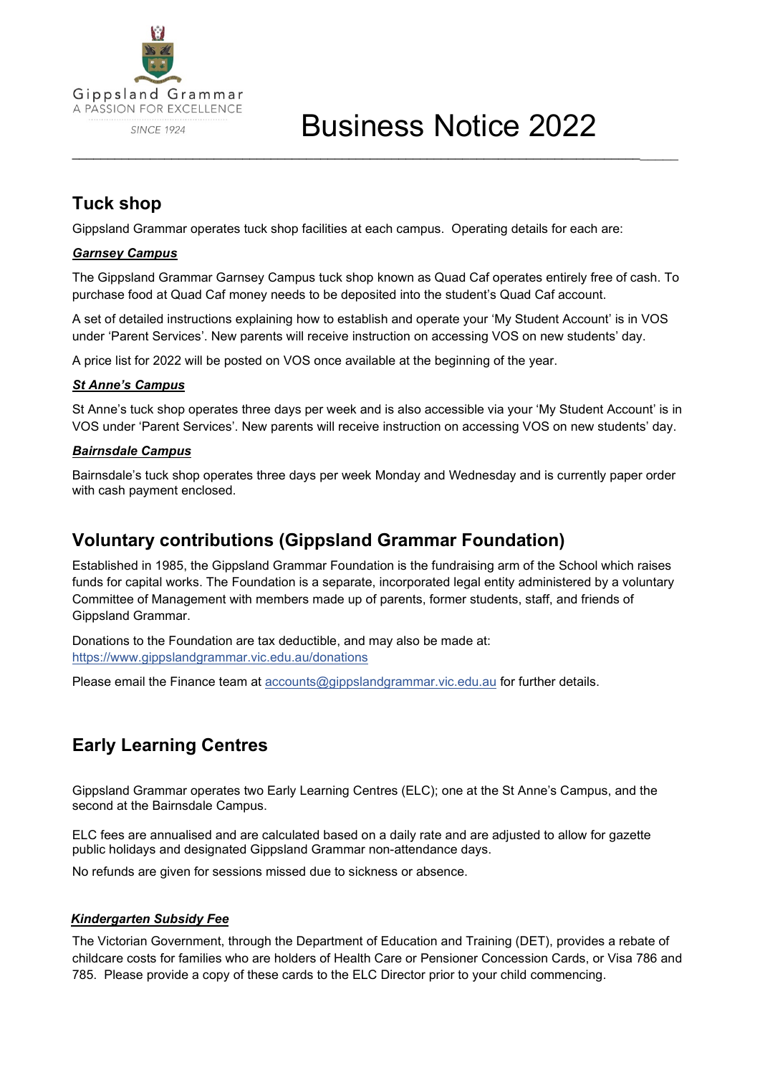

# Business Notice 2022

## **Tuck shop**

Gippsland Grammar operates tuck shop facilities at each campus. Operating details for each are:

#### *Garnsey Campus*

The Gippsland Grammar Garnsey Campus tuck shop known as Quad Caf operates entirely free of cash. To purchase food at Quad Caf money needs to be deposited into the student's Quad Caf account.

\_\_\_\_\_\_\_\_\_\_\_\_\_\_\_\_\_\_\_\_\_\_\_\_\_\_\_\_\_\_\_\_\_\_\_\_\_\_\_\_\_\_\_\_\_\_\_\_\_\_\_\_\_\_\_\_\_\_\_\_\_\_\_\_\_\_\_\_\_\_\_\_\_\_\_\_\_\_\_\_\_\_\_\_\_

A set of detailed instructions explaining how to establish and operate your 'My Student Account' is in VOS under 'Parent Services'. New parents will receive instruction on accessing VOS on new students' day.

A price list for 2022 will be posted on VOS once available at the beginning of the year.

#### *St Anne's Campus*

St Anne's tuck shop operates three days per week and is also accessible via your 'My Student Account' is in VOS under 'Parent Services'. New parents will receive instruction on accessing VOS on new students' day.

#### *Bairnsdale Campus*

Bairnsdale's tuck shop operates three days per week Monday and Wednesday and is currently paper order with cash payment enclosed.

#### **Voluntary contributions (Gippsland Grammar Foundation)**

Established in 1985, the Gippsland Grammar Foundation is the fundraising arm of the School which raises funds for capital works. The Foundation is a separate, incorporated legal entity administered by a voluntary Committee of Management with members made up of parents, former students, staff, and friends of Gippsland Grammar.

Donations to the Foundation are tax deductible, and may also be made at: <https://www.gippslandgrammar.vic.edu.au/donations>

Please email the Finance team at [accounts@gippslandgrammar.vic.edu.au](mailto:accounts@gippslandgrammar.vic.edu.au) for further details.

## **Early Learning Centres**

Gippsland Grammar operates two Early Learning Centres (ELC); one at the St Anne's Campus, and the second at the Bairnsdale Campus.

ELC fees are annualised and are calculated based on a daily rate and are adjusted to allow for gazette public holidays and designated Gippsland Grammar non-attendance days.

No refunds are given for sessions missed due to sickness or absence.

#### *Kindergarten Subsidy Fee*

The Victorian Government, through the Department of Education and Training (DET), provides a rebate of childcare costs for families who are holders of Health Care or Pensioner Concession Cards, or Visa 786 and 785. Please provide a copy of these cards to the ELC Director prior to your child commencing.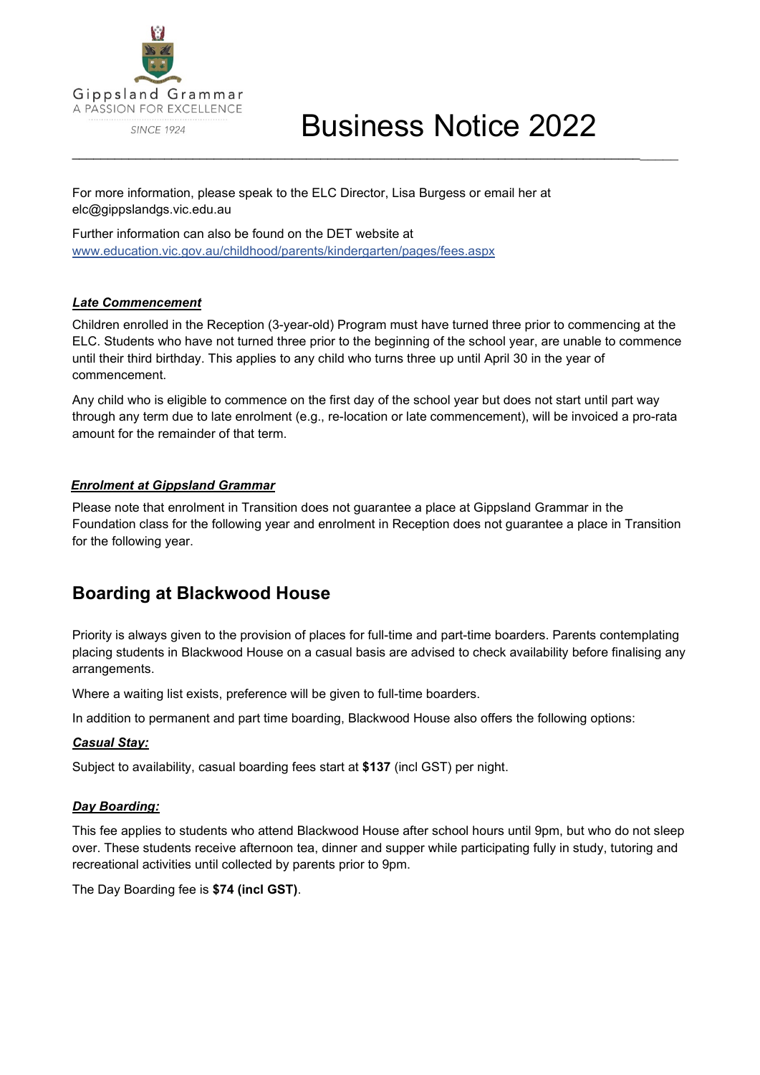

For more information, please speak to the ELC Director, Lisa Burgess or email her at elc@gippslandgs.vic.edu.au

Further information can also be found on the DET website at [www.education.vic.gov.au/childhood/parents/kindergarten/pages/fees.aspx](http://www.education.vic.gov.au/childhood/parents/kindergarten/pages/fees.aspx)

#### *Late Commencement*

Children enrolled in the Reception (3-year-old) Program must have turned three prior to commencing at the ELC. Students who have not turned three prior to the beginning of the school year, are unable to commence until their third birthday. This applies to any child who turns three up until April 30 in the year of commencement.

\_\_\_\_\_\_\_\_\_\_\_\_\_\_\_\_\_\_\_\_\_\_\_\_\_\_\_\_\_\_\_\_\_\_\_\_\_\_\_\_\_\_\_\_\_\_\_\_\_\_\_\_\_\_\_\_\_\_\_\_\_\_\_\_\_\_\_\_\_\_\_\_\_\_\_\_\_\_\_\_\_\_\_\_\_

Any child who is eligible to commence on the first day of the school year but does not start until part way through any term due to late enrolment (e.g., re-location or late commencement), will be invoiced a pro-rata amount for the remainder of that term.

#### *Enrolment at Gippsland Grammar*

Please note that enrolment in Transition does not guarantee a place at Gippsland Grammar in the Foundation class for the following year and enrolment in Reception does not guarantee a place in Transition for the following year.

### **Boarding at Blackwood House**

Priority is always given to the provision of places for full-time and part-time boarders. Parents contemplating placing students in Blackwood House on a casual basis are advised to check availability before finalising any arrangements.

Where a waiting list exists, preference will be given to full-time boarders.

In addition to permanent and part time boarding, Blackwood House also offers the following options:

#### *Casual Stay:*

Subject to availability, casual boarding fees start at **\$137** (incl GST) per night.

#### *Day Boarding:*

This fee applies to students who attend Blackwood House after school hours until 9pm, but who do not sleep over. These students receive afternoon tea, dinner and supper while participating fully in study, tutoring and recreational activities until collected by parents prior to 9pm.

The Day Boarding fee is **\$74 (incl GST)**.